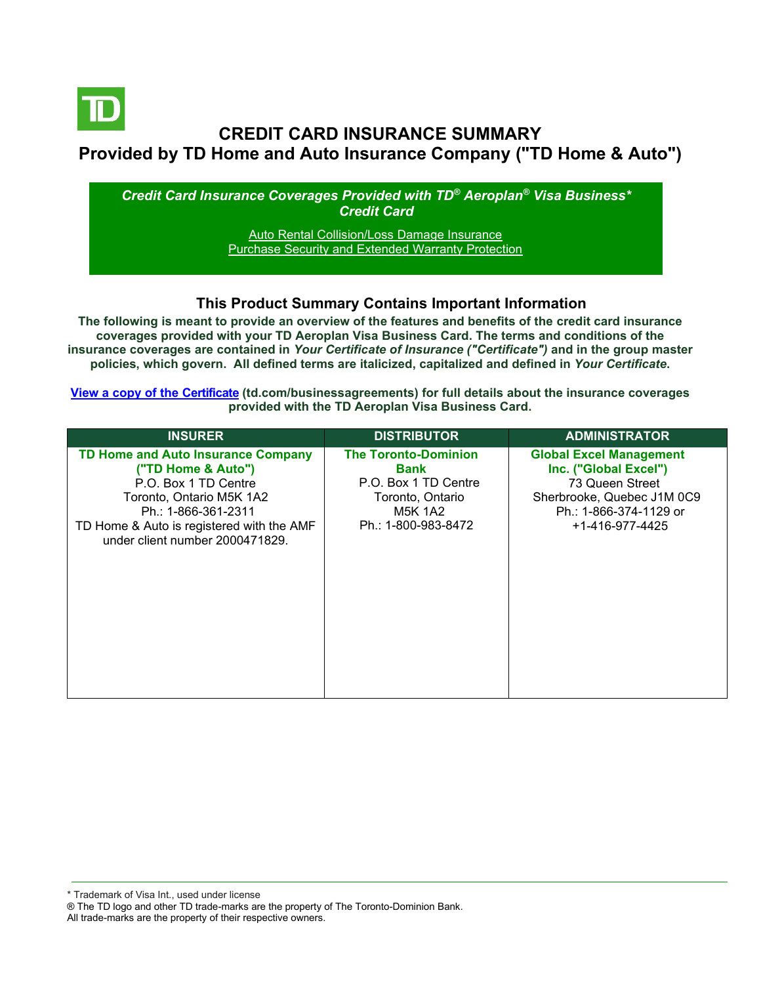

# **CREDIT CARD INSURANCE SUMMARY Provided by TD Home and Auto Insurance Company ("TD Home & Auto")**

*Credit Card Insurance Coverages Provided with TD® Aeroplan® Visa Business\* Credit Card*

> [Auto Rental Collision/Loss Damage Insurance](#page-3-0) [Purchase Security and Extended Warranty Protection](#page-4-0)

# **This Product Summary Contains Important Information**

**The following is meant to provide an overview of the features and benefits of the credit card insurance coverages provided with your TD Aeroplan Visa Business Card. The terms and conditions of the insurance coverages are contained in** *Your Certificate of Insurance ("Certificate")* **and in the group master policies, which govern. All defined terms are italicized, capitalized and defined in** *Your Certificate***.**

**[View a copy of the Certificate](https://www.td.com/businessagreements) (td.com/businessagreements) for full details about the insurance coverages provided with the TD Aeroplan Visa Business Card.**

| <b>INSURER</b>                                                                                                                                                                                                             | <b>DISTRIBUTOR</b>                                                                                                | <b>ADMINISTRATOR</b>                                                                                                                                  |
|----------------------------------------------------------------------------------------------------------------------------------------------------------------------------------------------------------------------------|-------------------------------------------------------------------------------------------------------------------|-------------------------------------------------------------------------------------------------------------------------------------------------------|
| <b>TD Home and Auto Insurance Company</b><br>("TD Home & Auto")<br>P.O. Box 1 TD Centre<br>Toronto, Ontario M5K 1A2<br>Ph.: 1-866-361-2311<br>TD Home & Auto is registered with the AMF<br>under client number 2000471829. | <b>The Toronto-Dominion</b><br>Bank<br>P.O. Box 1 TD Centre<br>Toronto, Ontario<br>M5K 1A2<br>Ph.: 1-800-983-8472 | <b>Global Excel Management</b><br>Inc. ("Global Excel")<br>73 Queen Street<br>Sherbrooke, Quebec J1M 0C9<br>Ph.: 1-866-374-1129 or<br>+1-416-977-4425 |

All trade-marks are the property of their respective owners.

<sup>\*</sup> Trademark of Visa Int., used under license

<sup>®</sup> The TD logo and other TD trade-marks are the property of The Toronto-Dominion Bank.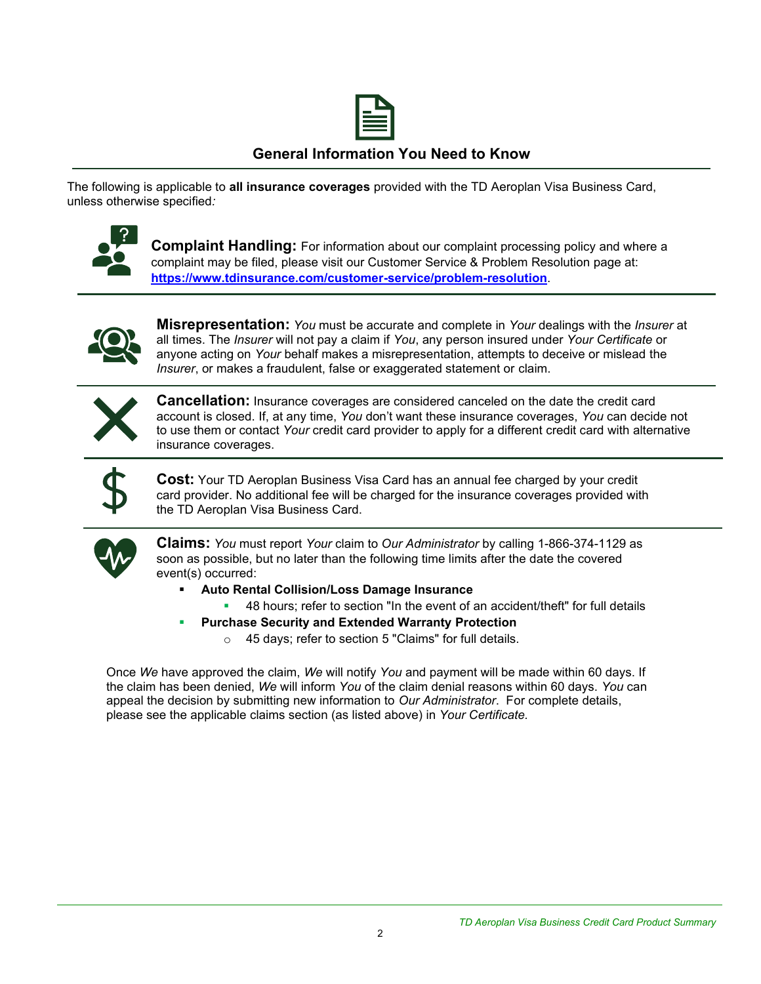

# **General Information You Need to Know**

The following is applicable to **all insurance coverages** provided with the TD Aeroplan Visa Business Card, unless otherwise specified*:*



**Complaint Handling:** For information about our complaint processing policy and where a complaint may be filed, please visit our Customer Service & Problem Resolution page at: **<https://www.tdinsurance.com/customer-service/problem-resolution>**.



**Misrepresentation:** *You* must be accurate and complete in *Your* dealings with the *Insurer* at all times. The *Insurer* will not pay a claim if *You*, any person insured under *Your Certificate* or anyone acting on *Your* behalf makes a misrepresentation, attempts to deceive or mislead the *Insurer*, or makes a fraudulent, false or exaggerated statement or claim.



**Cancellation:** Insurance coverages are considered canceled on the date the credit card account is closed. If, at any time, *You* don't want these insurance coverages, *You* can decide not to use them or contact *Your* credit card provider to apply for a different credit card with alternative insurance coverages.



**Cost:** Your TD Aeroplan Business Visa Card has an annual fee charged by your credit card provider. No additional fee will be charged for the insurance coverages provided with the TD Aeroplan Visa Business Card.



**Claims:** *You* must report *Your* claim to *Our Administrator* by calling 1-866-374-1129 as soon as possible, but no later than the following time limits after the date the covered event(s) occurred:

- **Auto Rental Collision/Loss Damage Insurance** 
	- 48 hours; refer to section "In the event of an accident/theft" for full details
- **Purchase Security and Extended Warranty Protection** 
	- o 45 days; refer to section 5 "Claims" for full details.

Once *We* have approved the claim, *We* will notify *You* and payment will be made within 60 days. If the claim has been denied, *We* will inform *You* of the claim denial reasons within 60 days. *You* can appeal the decision by submitting new information to *Our Administrator*. For complete details, please see the applicable claims section (as listed above) in *Your Certificate.*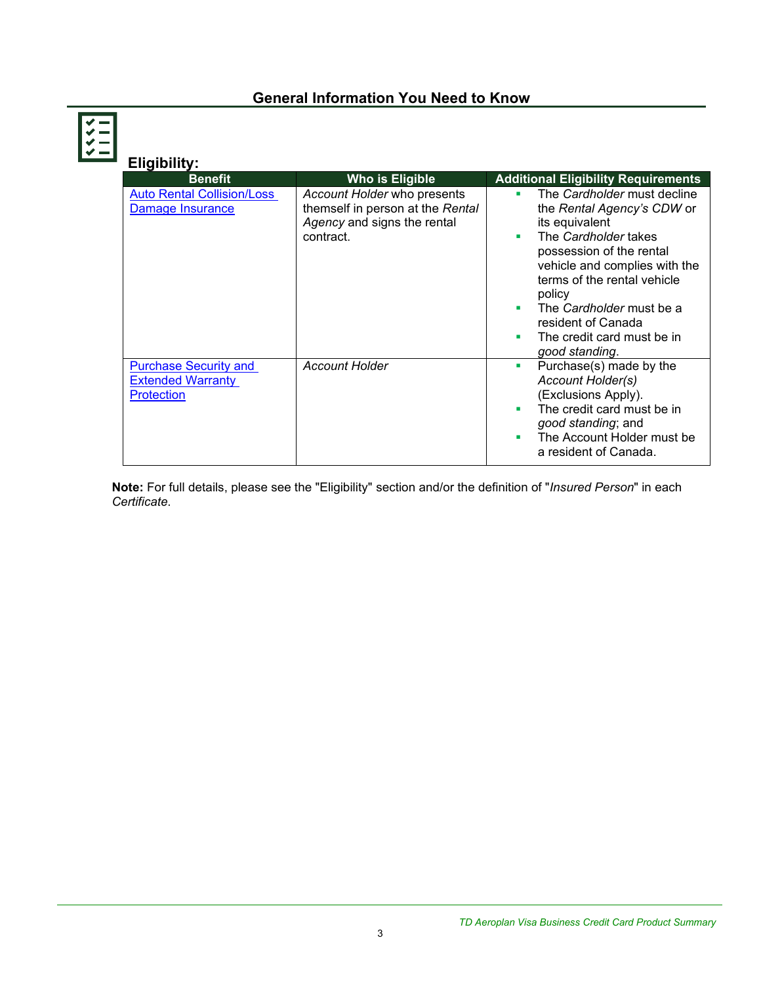# **General Information You Need to Know**

| Eligibility:                                                                  |                                                                                                             |                                                                                                                                                                                                                                                                                                                            |
|-------------------------------------------------------------------------------|-------------------------------------------------------------------------------------------------------------|----------------------------------------------------------------------------------------------------------------------------------------------------------------------------------------------------------------------------------------------------------------------------------------------------------------------------|
| <b>Benefit</b>                                                                | <b>Who is Eligible</b>                                                                                      | <b>Additional Eligibility Requirements</b>                                                                                                                                                                                                                                                                                 |
| <b>Auto Rental Collision/Loss</b><br>Damage Insurance                         | Account Holder who presents<br>themself in person at the Rental<br>Agency and signs the rental<br>contract. | The Cardholder must decline<br>٠<br>the Rental Agency's CDW or<br>its equivalent<br>The Cardholder takes<br>٠<br>possession of the rental<br>vehicle and complies with the<br>terms of the rental vehicle<br>policy<br>The Cardholder must be a<br>resident of Canada<br>The credit card must be in<br>٠<br>good standing. |
| <b>Purchase Security and</b><br><b>Extended Warranty</b><br><b>Protection</b> | <b>Account Holder</b>                                                                                       | Purchase(s) made by the<br>٠<br>Account Holder(s)<br>(Exclusions Apply).<br>The credit card must be in<br>ш<br>good standing; and<br>The Account Holder must be<br>ш<br>a resident of Canada.                                                                                                                              |

**Note:** For full details, please see the "Eligibility" section and/or the definition of "*Insured Person*" in each *Certificate*.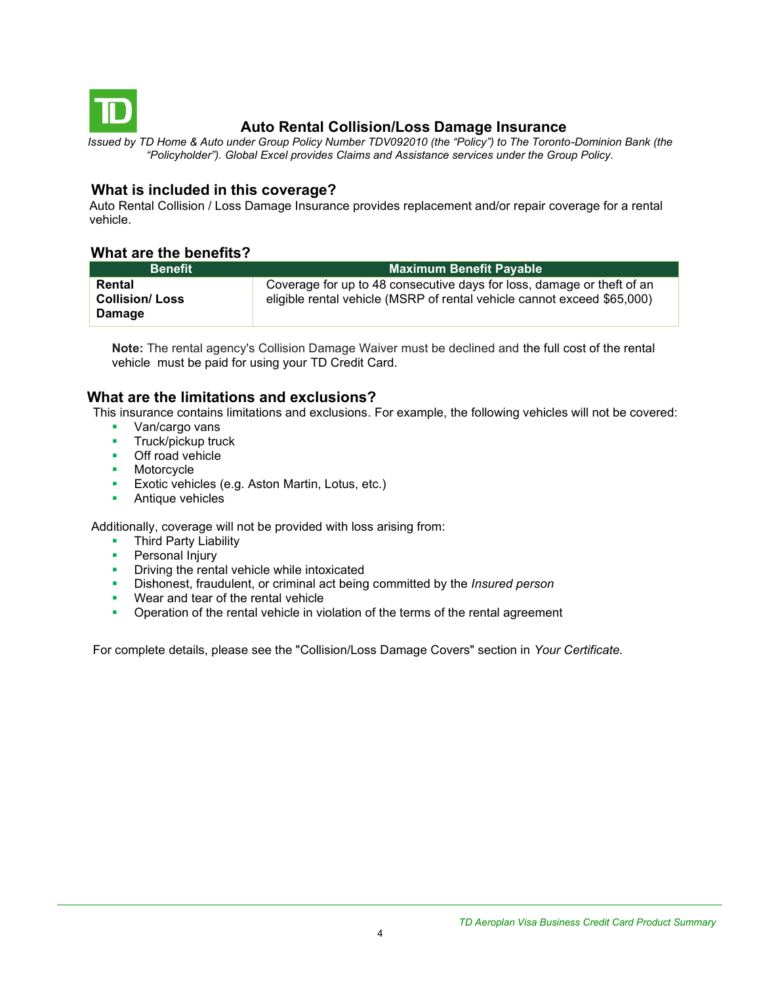<span id="page-3-0"></span>

# **Auto Rental Collision/Loss Damage Insurance**

*Issued by TD Home & Auto under Group Policy Number TDV092010 (the "Policy") to The Toronto-Dominion Bank (the "Policyholder"). Global Excel provides Claims and Assistance services under the Group Policy.*

# **What is included in this coverage?**

Auto Rental Collision / Loss Damage Insurance provides replacement and/or repair coverage for a rental vehicle.

## **What are the benefits?**

| <b>Benefit</b>                                   | Maximum Benefit Payable                                                                                                                           |  |
|--------------------------------------------------|---------------------------------------------------------------------------------------------------------------------------------------------------|--|
| Rental<br><b>Collision/Loss</b><br><b>Damage</b> | Coverage for up to 48 consecutive days for loss, damage or theft of an<br>eligible rental vehicle (MSRP of rental vehicle cannot exceed \$65,000) |  |

**Note:** The rental agency's Collision Damage Waiver must be declined and the full cost of the rental vehicle must be paid for using your TD Credit Card.

## **What are the limitations and exclusions?**

This insurance contains limitations and exclusions. For example, the following vehicles will not be covered:

- Van/cargo vans
- **■** Truck/pickup truck
- Off road vehicle
- Motorcycle
- **Exotic vehicles (e.g. Aston Martin, Lotus, etc.)**
- Antique vehicles

Additionally, coverage will not be provided with loss arising from:

- **Third Party Liability**
- **•** Personal Injury
- **•** Driving the rental vehicle while intoxicated
- Dishonest, fraudulent, or criminal act being committed by the *Insured person*
- Wear and tear of the rental vehicle
- **•** Operation of the rental vehicle in violation of the terms of the rental agreement

For complete details, please see the "Collision/Loss Damage Covers" section in *Your Certificate.*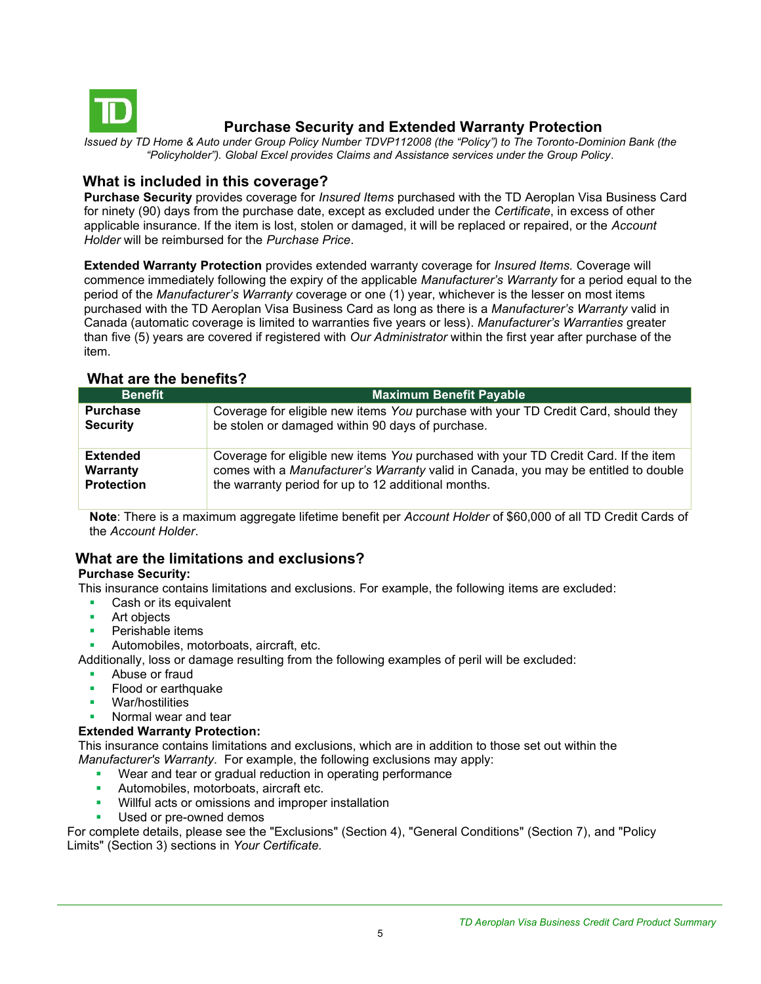<span id="page-4-0"></span>

# **Purchase Security and Extended Warranty Protection**

*Issued by TD Home & Auto under Group Policy Number TDVP112008 (the "Policy") to The Toronto-Dominion Bank (the "Policyholder"). Global Excel provides Claims and Assistance services under the Group Policy.*

## **What is included in this coverage?**

**Purchase Security** provides coverage for *Insured Items* purchased with the TD Aeroplan Visa Business Card for ninety (90) days from the purchase date, except as excluded under the *Certificate*, in excess of other applicable insurance. If the item is lost, stolen or damaged, it will be replaced or repaired, or the *Account Holder* will be reimbursed for the *Purchase Price*.

**Extended Warranty Protection** provides extended warranty coverage for *Insured Items.* Coverage will commence immediately following the expiry of the applicable *Manufacturer's Warranty* for a period equal to the period of the *Manufacturer's Warranty* coverage or one (1) year, whichever is the lesser on most items purchased with the TD Aeroplan Visa Business Card as long as there is a *Manufacturer's Warranty* valid in Canada (automatic coverage is limited to warranties five years or less). *Manufacturer's Warranties* greater than five (5) years are covered if registered with *Our Administrator* within the first year after purchase of the item.

| <b>Benefit</b>    | <b>Maximum Benefit Payable</b>                                                      |
|-------------------|-------------------------------------------------------------------------------------|
| <b>Purchase</b>   | Coverage for eligible new items You purchase with your TD Credit Card, should they  |
| <b>Security</b>   | be stolen or damaged within 90 days of purchase.                                    |
| <b>Extended</b>   | Coverage for eligible new items You purchased with your TD Credit Card. If the item |
| Warranty          | comes with a Manufacturer's Warranty valid in Canada, you may be entitled to double |
| <b>Protection</b> | the warranty period for up to 12 additional months.                                 |

## **What are the benefits?**

**Note**: There is a maximum aggregate lifetime benefit per *Account Holder* of \$60,000 of all TD Credit Cards of the *Account Holder*.

# **What are the limitations and exclusions?**

## **Purchase Security:**

This insurance contains limitations and exclusions. For example, the following items are excluded:

- Cash or its equivalent
- Art objects
- Perishable items
- Automobiles, motorboats, aircraft, etc.

Additionally, loss or damage resulting from the following examples of peril will be excluded:

- Abuse or fraud
- Flood or earthquake
- War/hostilities
- Normal wear and tear

#### **Extended Warranty Protection:**

This insurance contains limitations and exclusions, which are in addition to those set out within the *Manufacturer's Warranty*. For example, the following exclusions may apply:

- Wear and tear or gradual reduction in operating performance
- **EXECUTE:** Automobiles, motorboats, aircraft etc.
- **•** Willful acts or omissions and improper installation
- Used or pre-owned demos

For complete details, please see the "Exclusions" (Section 4), "General Conditions" (Section 7), and "Policy Limits" (Section 3) sections in *Your Certificate.*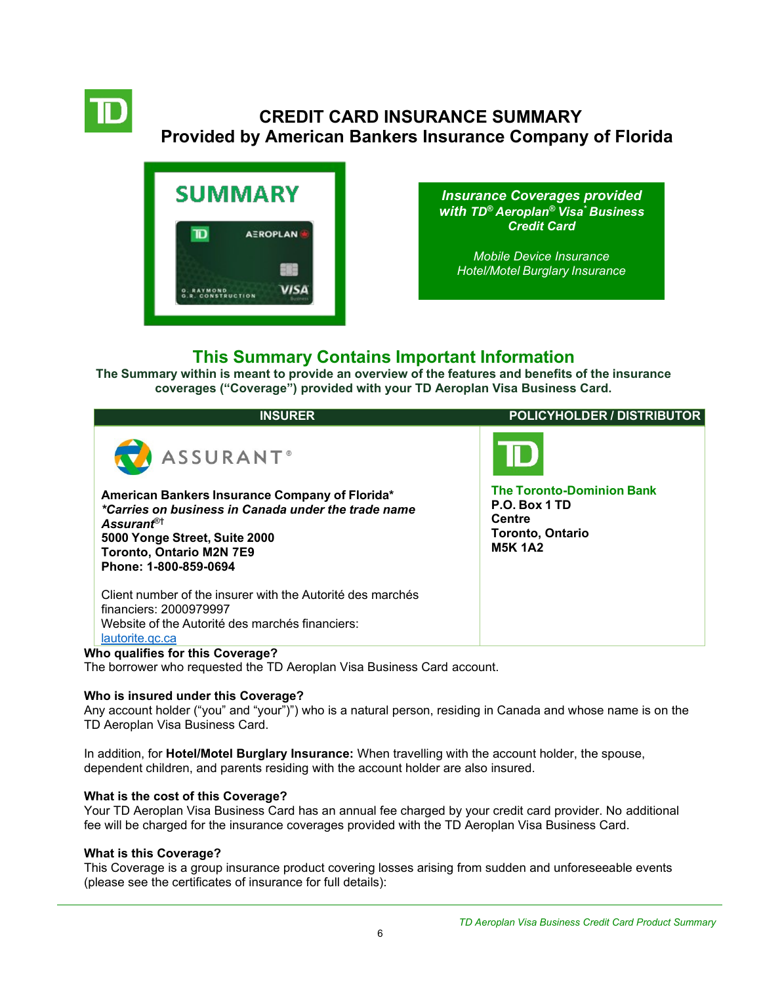

# **CREDIT CARD INSURANCE SUMMARY Provided by American Bankers Insurance Company of Florida**

<span id="page-5-0"></span>

*Insurance Coverages provided with TD® Aeroplan® Visa\* Business Credit Card*

*[Mobile Device Insurance](#page-5-0) [Hotel/Motel](#page-5-0) Burglary Insurance*

# **This Summary Contains Important Information**

**The Summary within is meant to provide an overview of the features and benefits of the insurance coverages ("Coverage") provided with your TD Aeroplan Visa Business Card.**

| <b>INSURER</b>                                                                                                                                                                                                                                        | <b>POLICYHOLDER / DISTRIBUTOR</b>                                                                               |
|-------------------------------------------------------------------------------------------------------------------------------------------------------------------------------------------------------------------------------------------------------|-----------------------------------------------------------------------------------------------------------------|
| ASSURANT <sup>®</sup><br>American Bankers Insurance Company of Florida*<br>*Carries on business in Canada under the trade name<br>Assurant <sup>®†</sup><br>5000 Yonge Street, Suite 2000<br><b>Toronto, Ontario M2N 7E9</b><br>Phone: 1-800-859-0694 | <b>The Toronto-Dominion Bank</b><br>P.O. Box 1 TD<br><b>Centre</b><br><b>Toronto, Ontario</b><br><b>M5K 1A2</b> |
| Client number of the insurer with the Autorité des marchés<br>financiers: 2000979997<br>Website of the Autorité des marchés financiers:<br>lautorite.gc.ca                                                                                            |                                                                                                                 |
| Who qualifies for this Coverage?                                                                                                                                                                                                                      |                                                                                                                 |

The borrower who requested the TD Aeroplan Visa Business Card account.

## **Who is insured under this Coverage?**

Any account holder ("you" and "your")") who is a natural person, residing in Canada and whose name is on the TD Aeroplan Visa Business Card.

In addition, for **Hotel/Motel Burglary Insurance:** When travelling with the account holder, the spouse, dependent children, and parents residing with the account holder are also insured.

## **What is the cost of this Coverage?**

Your TD Aeroplan Visa Business Card has an annual fee charged by your credit card provider. No additional fee will be charged for the insurance coverages provided with the TD Aeroplan Visa Business Card.

## **What is this Coverage?**

This Coverage is a group insurance product covering losses arising from sudden and unforeseeable events (please see the certificates of insurance for full details):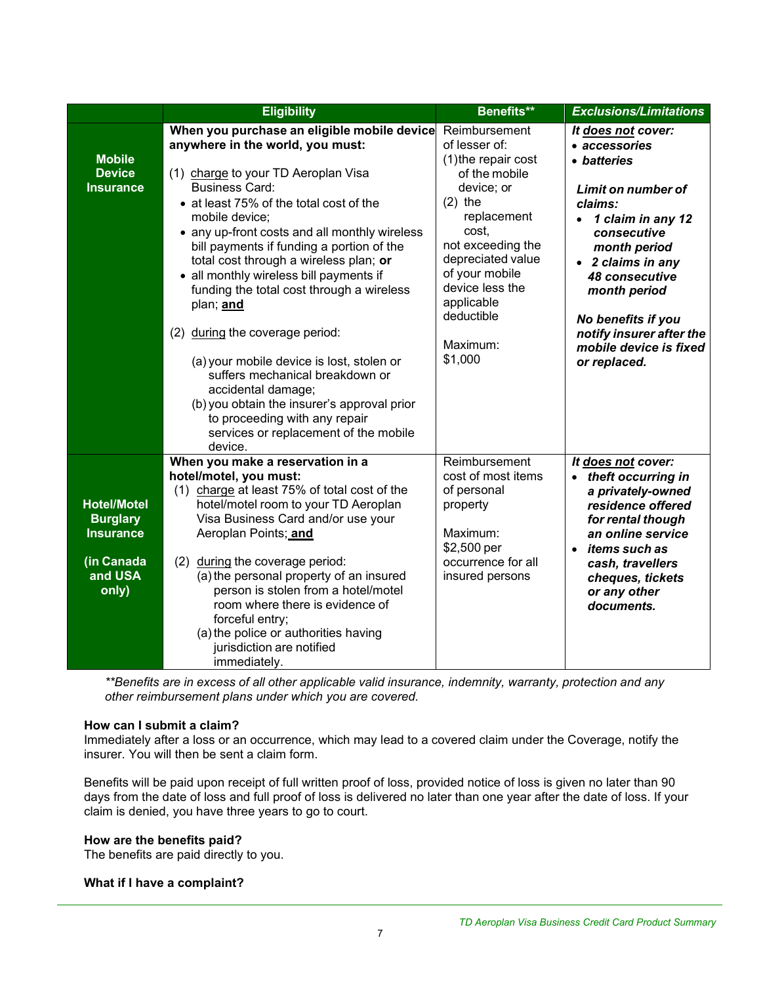|                                                                                             | <b>Eligibility</b>                                                                                                                                                                                                                                                                                                                                                                                                                                                                                                                                                                                                                                                                                                                        | Benefits**                                                                                                                                                                                                                                                  | <b>Exclusions/Limitations</b>                                                                                                                                                                                                                                                                |
|---------------------------------------------------------------------------------------------|-------------------------------------------------------------------------------------------------------------------------------------------------------------------------------------------------------------------------------------------------------------------------------------------------------------------------------------------------------------------------------------------------------------------------------------------------------------------------------------------------------------------------------------------------------------------------------------------------------------------------------------------------------------------------------------------------------------------------------------------|-------------------------------------------------------------------------------------------------------------------------------------------------------------------------------------------------------------------------------------------------------------|----------------------------------------------------------------------------------------------------------------------------------------------------------------------------------------------------------------------------------------------------------------------------------------------|
| <b>Mobile</b><br><b>Device</b><br><b>Insurance</b>                                          | When you purchase an eligible mobile device<br>anywhere in the world, you must:<br>(1) charge to your TD Aeroplan Visa<br><b>Business Card:</b><br>• at least 75% of the total cost of the<br>mobile device:<br>• any up-front costs and all monthly wireless<br>bill payments if funding a portion of the<br>total cost through a wireless plan; or<br>• all monthly wireless bill payments if<br>funding the total cost through a wireless<br>plan; and<br>during the coverage period:<br>(2)<br>(a) your mobile device is lost, stolen or<br>suffers mechanical breakdown or<br>accidental damage;<br>(b) you obtain the insurer's approval prior<br>to proceeding with any repair<br>services or replacement of the mobile<br>device. | Reimbursement<br>of lesser of:<br>(1) the repair cost<br>of the mobile<br>device; or<br>$(2)$ the<br>replacement<br>cost,<br>not exceeding the<br>depreciated value<br>of your mobile<br>device less the<br>applicable<br>deductible<br>Maximum:<br>\$1,000 | It does not cover:<br>• accessories<br>• batteries<br>Limit on number of<br>claims:<br>• 1 claim in any 12<br>consecutive<br>month period<br>• 2 claims in any<br>48 consecutive<br>month period<br>No benefits if you<br>notify insurer after the<br>mobile device is fixed<br>or replaced. |
| <b>Hotel/Motel</b><br><b>Burglary</b><br><b>Insurance</b><br>(in Canada<br>and USA<br>only) | When you make a reservation in a<br>hotel/motel, you must:<br>(1) charge at least 75% of total cost of the<br>hotel/motel room to your TD Aeroplan<br>Visa Business Card and/or use your<br>Aeroplan Points; and<br>(2) during the coverage period:<br>(a) the personal property of an insured<br>person is stolen from a hotel/motel<br>room where there is evidence of<br>forceful entry;<br>(a) the police or authorities having<br>jurisdiction are notified<br>immediately.                                                                                                                                                                                                                                                          | Reimbursement<br>cost of most items<br>of personal<br>property<br>Maximum:<br>\$2,500 per<br>occurrence for all<br>insured persons                                                                                                                          | It does not cover:<br>• theft occurring in<br>a privately-owned<br>residence offered<br>for rental though<br>an online service<br>items such as<br>$\bullet$<br>cash, travellers<br>cheques, tickets<br>or any other<br>documents.                                                           |

*\*\*Benefits are in excess of all other applicable valid insurance, indemnity, warranty, protection and any other reimbursement plans under which you are covered.*

#### **How can I submit a claim?**

Immediately after a loss or an occurrence, which may lead to a covered claim under the Coverage, notify the insurer. You will then be sent a claim form.

Benefits will be paid upon receipt of full written proof of loss, provided notice of loss is given no later than 90 days from the date of loss and full proof of loss is delivered no later than one year after the date of loss. If your claim is denied, you have three years to go to court.

#### **How are the benefits paid?**

The benefits are paid directly to you.

#### **What if I have a complaint?**